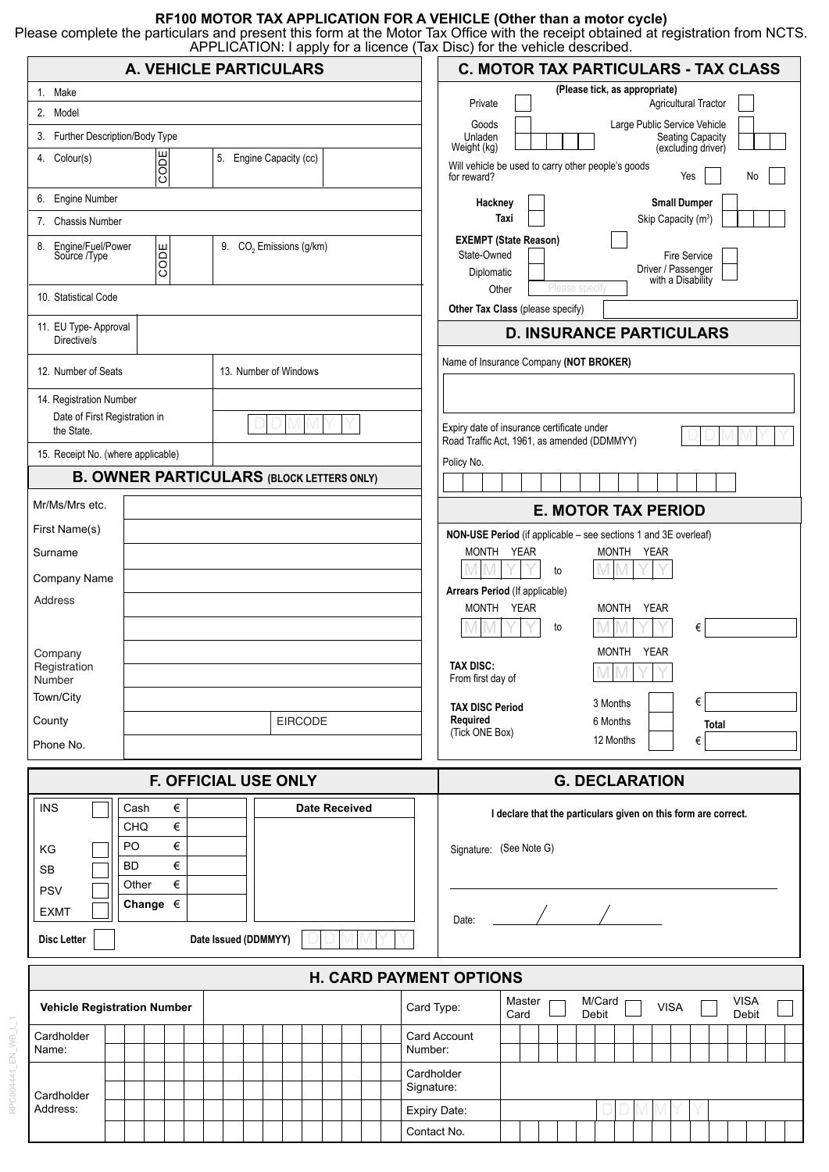### **RF100 MOTOR TAX APPLICATION FOR A VEHICLE (Other than a motor cycle)**

Please complete the particulars and present this form at the Motor Tax Office with the receipt obtained at registration from NCTS. APPLICATION: I apply for a licence (Tax Disc) for the vehicle described.

| <b>A. VEHICLE PARTICULARS</b>                                                                               |                                |                       |  |                      |  |         |  |  |  |                                |                          | <b>C. MOTOR TAX PARTICULARS - TAX CLASS</b> |                                                                                                                                                        |                                                                                           |  |  |  |
|-------------------------------------------------------------------------------------------------------------|--------------------------------|-----------------------|--|----------------------|--|---------|--|--|--|--------------------------------|--------------------------|---------------------------------------------|--------------------------------------------------------------------------------------------------------------------------------------------------------|-------------------------------------------------------------------------------------------|--|--|--|
| 1. Make                                                                                                     |                                |                       |  |                      |  |         |  |  |  |                                |                          |                                             | (Please tick, as appropriate)                                                                                                                          |                                                                                           |  |  |  |
| 2. Model                                                                                                    |                                |                       |  |                      |  |         |  |  |  |                                |                          |                                             | Agricultural Tractor<br>Private<br>Large Public Service Vehicle<br>Goods                                                                               |                                                                                           |  |  |  |
| 3. Further Description/Body Type                                                                            |                                |                       |  |                      |  |         |  |  |  |                                |                          |                                             | Unladen<br><b>Seating Capacity</b><br>Weight (kg)<br>(excluding driver)                                                                                |                                                                                           |  |  |  |
| CODE<br>5. Engine Capacity (cc)<br>4. Colour(s)                                                             |                                |                       |  |                      |  |         |  |  |  |                                |                          |                                             | for reward?                                                                                                                                            | Will vehicle be used to carry other people's goods<br>Yes<br>No                           |  |  |  |
| 6. Engine Number                                                                                            |                                |                       |  |                      |  |         |  |  |  |                                |                          |                                             | Hackney                                                                                                                                                | <b>Small Dumper</b>                                                                       |  |  |  |
| <b>Chassis Number</b><br>7.                                                                                 |                                |                       |  |                      |  |         |  |  |  |                                |                          |                                             |                                                                                                                                                        | Taxi<br>Skip Capacity (m <sup>3</sup> )                                                   |  |  |  |
| 8. Engine/Fuel/Power<br>9. CO <sub>2</sub> Emissions (g/km)<br>CODE<br>Source /Type<br>10. Statistical Code |                                |                       |  |                      |  |         |  |  |  |                                |                          |                                             | <b>EXEMPT (State Reason)</b><br>State-Owned<br><b>Fire Service</b><br>Driver / Passenger<br>Diplomatic<br>with a Disability<br>Other<br>Please specify |                                                                                           |  |  |  |
|                                                                                                             |                                |                       |  |                      |  |         |  |  |  |                                |                          |                                             | Other Tax Class (please specify)                                                                                                                       |                                                                                           |  |  |  |
| 11. EU Type- Approval<br>Directive/s                                                                        |                                |                       |  |                      |  |         |  |  |  |                                |                          |                                             | <b>D. INSURANCE PARTICULARS</b>                                                                                                                        |                                                                                           |  |  |  |
| 12. Number of Seats                                                                                         |                                | 13. Number of Windows |  |                      |  |         |  |  |  |                                |                          | Name of Insurance Company (NOT BROKER)      |                                                                                                                                                        |                                                                                           |  |  |  |
| 14. Registration Number                                                                                     |                                |                       |  |                      |  |         |  |  |  |                                |                          |                                             |                                                                                                                                                        |                                                                                           |  |  |  |
| Date of First Registration in<br>the State.                                                                 |                                |                       |  |                      |  |         |  |  |  |                                |                          |                                             |                                                                                                                                                        | Expiry date of insurance certificate under<br>Road Traffic Act, 1961, as amended (DDMMYY) |  |  |  |
| 15. Receipt No. (where applicable)                                                                          |                                |                       |  |                      |  |         |  |  |  |                                | Policy No.               |                                             |                                                                                                                                                        |                                                                                           |  |  |  |
| <b>B. OWNER PARTICULARS (BLOCK LETTERS ONLY)</b>                                                            |                                |                       |  |                      |  |         |  |  |  |                                |                          |                                             |                                                                                                                                                        |                                                                                           |  |  |  |
| Mr/Ms/Mrs etc.                                                                                              |                                |                       |  |                      |  |         |  |  |  | <b>E. MOTOR TAX PERIOD</b>     |                          |                                             |                                                                                                                                                        |                                                                                           |  |  |  |
| First Name(s)                                                                                               |                                |                       |  |                      |  |         |  |  |  |                                |                          |                                             |                                                                                                                                                        | NON-USE Period (if applicable - see sections 1 and 3E overleaf)                           |  |  |  |
| Surname                                                                                                     |                                |                       |  |                      |  |         |  |  |  |                                | MONTH YEAR<br>MONTH YEAR |                                             |                                                                                                                                                        |                                                                                           |  |  |  |
| Company Name                                                                                                |                                |                       |  |                      |  |         |  |  |  |                                |                          | to<br>Arrears Period (If applicable)        |                                                                                                                                                        |                                                                                           |  |  |  |
| Address                                                                                                     |                                |                       |  |                      |  |         |  |  |  |                                |                          |                                             | MONTH YEAR<br>MONTH<br>YEAR                                                                                                                            |                                                                                           |  |  |  |
|                                                                                                             |                                |                       |  |                      |  |         |  |  |  |                                |                          |                                             | €<br>to                                                                                                                                                |                                                                                           |  |  |  |
| Company                                                                                                     |                                |                       |  |                      |  |         |  |  |  | MONTH YEAR<br><b>TAX DISC:</b> |                          |                                             |                                                                                                                                                        |                                                                                           |  |  |  |
| Registration<br>Number                                                                                      |                                |                       |  |                      |  |         |  |  |  |                                |                          |                                             | From first day of                                                                                                                                      |                                                                                           |  |  |  |
| Town/City                                                                                                   |                                |                       |  |                      |  |         |  |  |  |                                |                          |                                             | €<br>3 Months<br><b>TAX DISC Period</b>                                                                                                                |                                                                                           |  |  |  |
| County                                                                                                      |                                | <b>EIRCODE</b>        |  |                      |  |         |  |  |  |                                |                          |                                             | Required<br>6 Months<br><b>Total</b><br>(Tick ONE Box)                                                                                                 |                                                                                           |  |  |  |
| Phone No.                                                                                                   |                                |                       |  |                      |  |         |  |  |  |                                |                          |                                             | 12 Months<br>€                                                                                                                                         |                                                                                           |  |  |  |
| <b>F. OFFICIAL USE ONLY</b>                                                                                 |                                |                       |  |                      |  |         |  |  |  |                                |                          |                                             |                                                                                                                                                        | <b>G. DECLARATION</b>                                                                     |  |  |  |
|                                                                                                             |                                |                       |  |                      |  |         |  |  |  |                                |                          |                                             |                                                                                                                                                        |                                                                                           |  |  |  |
| <b>INS</b>                                                                                                  | Cash<br>CHQ                    | €<br>€                |  | <b>Date Received</b> |  |         |  |  |  |                                |                          |                                             | I declare that the particulars given on this form are correct.                                                                                         |                                                                                           |  |  |  |
| ΚG                                                                                                          | €<br>PO                        |                       |  |                      |  |         |  |  |  |                                |                          |                                             | Signature: (See Note G)                                                                                                                                |                                                                                           |  |  |  |
| <b>SB</b>                                                                                                   | <b>BD</b>                      | €                     |  |                      |  |         |  |  |  |                                |                          |                                             |                                                                                                                                                        |                                                                                           |  |  |  |
| <b>PSV</b>                                                                                                  | $\in$<br>Other<br>Change $\in$ |                       |  |                      |  |         |  |  |  |                                |                          |                                             |                                                                                                                                                        |                                                                                           |  |  |  |
| <b>EXMT</b>                                                                                                 |                                |                       |  |                      |  |         |  |  |  |                                |                          |                                             | Date:                                                                                                                                                  |                                                                                           |  |  |  |
| Date Issued (DDMMYY)<br><b>Disc Letter</b>                                                                  |                                |                       |  |                      |  |         |  |  |  |                                |                          |                                             |                                                                                                                                                        |                                                                                           |  |  |  |
| <b>H. CARD PAYMENT OPTIONS</b>                                                                              |                                |                       |  |                      |  |         |  |  |  |                                |                          |                                             |                                                                                                                                                        |                                                                                           |  |  |  |
| <b>Vehicle Registration Number</b><br>Card Type:                                                            |                                |                       |  |                      |  |         |  |  |  |                                |                          |                                             | <b>VISA</b><br>Master<br>M/Card<br><b>VISA</b><br>Debit<br>Card<br>Debit                                                                               |                                                                                           |  |  |  |
| Cardholder<br>Name:                                                                                         |                                |                       |  |                      |  | Number: |  |  |  |                                |                          |                                             | Card Account                                                                                                                                           |                                                                                           |  |  |  |
|                                                                                                             |                                |                       |  |                      |  |         |  |  |  |                                |                          |                                             | Cardholder                                                                                                                                             |                                                                                           |  |  |  |
| Cardholder                                                                                                  |                                |                       |  |                      |  |         |  |  |  |                                |                          | Signature:                                  |                                                                                                                                                        |                                                                                           |  |  |  |
| Address:                                                                                                    |                                |                       |  |                      |  |         |  |  |  |                                |                          | Expiry Date:                                |                                                                                                                                                        |                                                                                           |  |  |  |
|                                                                                                             |                                |                       |  |                      |  |         |  |  |  |                                |                          |                                             | Contact No.                                                                                                                                            |                                                                                           |  |  |  |